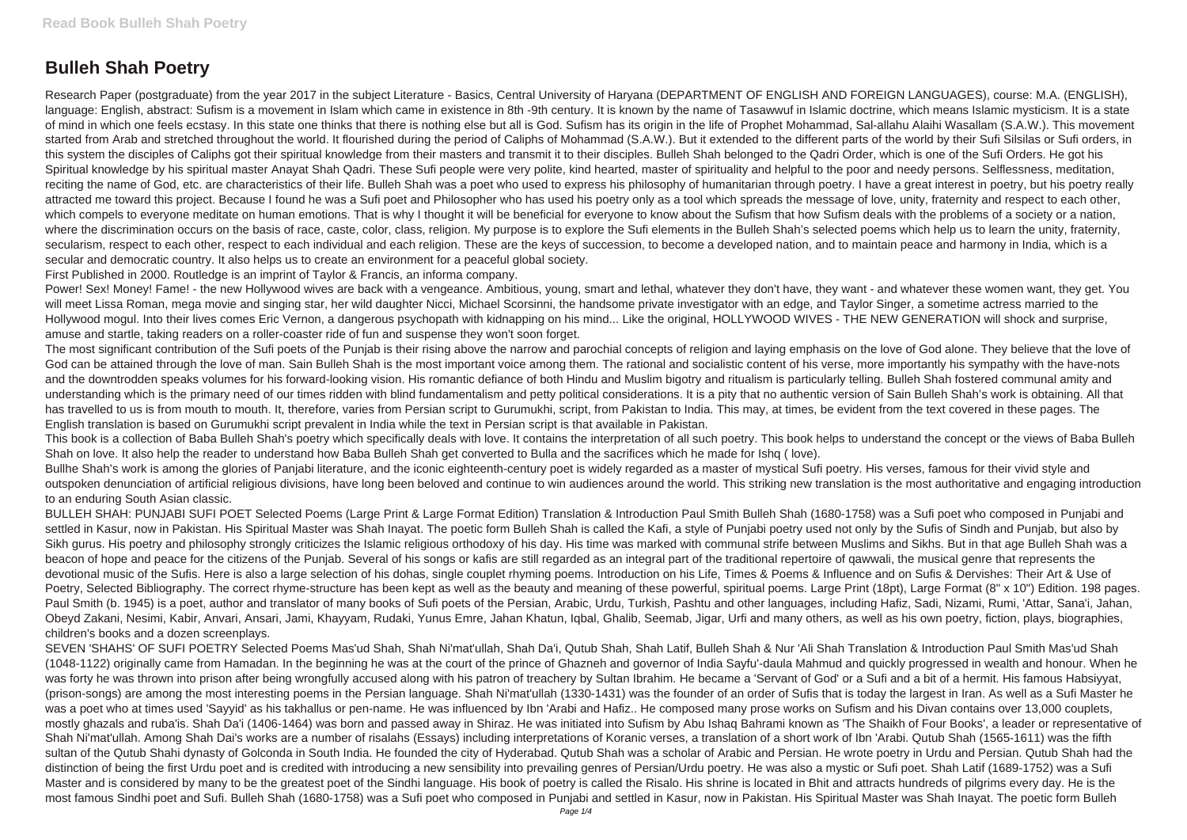## **Bulleh Shah Poetry**

Research Paper (postgraduate) from the year 2017 in the subject Literature - Basics, Central University of Haryana (DEPARTMENT OF ENGLISH AND FOREIGN LANGUAGES), course: M.A. (ENGLISH), language: English, abstract: Sufism is a movement in Islam which came in existence in 8th -9th century. It is known by the name of Tasawwuf in Islamic doctrine, which means Islamic mysticism. It is a state of mind in which one feels ecstasy. In this state one thinks that there is nothing else but all is God. Sufism has its origin in the life of Prophet Mohammad, Sal-allahu Alaihi Wasallam (S.A.W.). This movement started from Arab and stretched throughout the world. It flourished during the period of Caliphs of Mohammad (S.A.W.). But it extended to the different parts of the world by their Sufi Silsilas or Sufi orders, in this system the disciples of Caliphs got their spiritual knowledge from their masters and transmit it to their disciples. Bulleh Shah belonged to the Qadri Order, which is one of the Sufi Orders. He got his Spiritual knowledge by his spiritual master Anayat Shah Qadri. These Sufi people were very polite, kind hearted, master of spirituality and helpful to the poor and needy persons. Selflessness, meditation, reciting the name of God, etc. are characteristics of their life. Bulleh Shah was a poet who used to express his philosophy of humanitarian through poetry. I have a great interest in poetry, but his poetry really attracted me toward this project. Because I found he was a Sufi poet and Philosopher who has used his poetry only as a tool which spreads the message of love, unity, fraternity and respect to each other, which compels to everyone meditate on human emotions. That is why I thought it will be beneficial for everyone to know about the Sufism that how Sufism deals with the problems of a society or a nation, where the discrimination occurs on the basis of race, caste, color, class, religion. My purpose is to explore the Sufi elements in the Bulleh Shah's selected poems which help us to learn the unity, fraternity, secularism, respect to each other, respect to each individual and each religion. These are the keys of succession, to become a developed nation, and to maintain peace and harmony in India, which is a secular and democratic country. It also helps us to create an environment for a peaceful global society.

Power! Sex! Money! Fame! - the new Hollywood wives are back with a vengeance. Ambitious, young, smart and lethal, whatever they don't have, they want - and whatever these women want, they get. You will meet Lissa Roman, mega movie and singing star, her wild daughter Nicci, Michael Scorsinni, the handsome private investigator with an edge, and Taylor Singer, a sometime actress married to the Hollywood mogul. Into their lives comes Eric Vernon, a dangerous psychopath with kidnapping on his mind... Like the original, HOLLYWOOD WIVES - THE NEW GENERATION will shock and surprise, amuse and startle, taking readers on a roller-coaster ride of fun and suspense they won't soon forget.

First Published in 2000. Routledge is an imprint of Taylor & Francis, an informa company.

Bullhe Shah's work is among the glories of Panjabi literature, and the iconic eighteenth-century poet is widely regarded as a master of mystical Sufi poetry. His verses, famous for their vivid style and outspoken denunciation of artificial religious divisions, have long been beloved and continue to win audiences around the world. This striking new translation is the most authoritative and engaging introduction to an enduring South Asian classic.

The most significant contribution of the Sufi poets of the Punjab is their rising above the narrow and parochial concepts of religion and laying emphasis on the love of God alone. They believe that the love of God can be attained through the love of man. Sain Bulleh Shah is the most important voice among them. The rational and socialistic content of his verse, more importantly his sympathy with the have-nots and the downtrodden speaks volumes for his forward-looking vision. His romantic defiance of both Hindu and Muslim bigotry and ritualism is particularly telling. Bulleh Shah fostered communal amity and understanding which is the primary need of our times ridden with blind fundamentalism and petty political considerations. It is a pity that no authentic version of Sain Bulleh Shah's work is obtaining. All that has travelled to us is from mouth to mouth. It, therefore, varies from Persian script to Gurumukhi, script, from Pakistan to India. This may, at times, be evident from the text covered in these pages. The English translation is based on Gurumukhi script prevalent in India while the text in Persian script is that available in Pakistan.

This book is a collection of Baba Bulleh Shah's poetry which specifically deals with love. It contains the interpretation of all such poetry. This book helps to understand the concept or the views of Baba Bulleh Shah on love. It also help the reader to understand how Baba Bulleh Shah get converted to Bulla and the sacrifices which he made for Ishq ( love).

BULLEH SHAH: PUNJABI SUFI POET Selected Poems (Large Print & Large Format Edition) Translation & Introduction Paul Smith Bulleh Shah (1680-1758) was a Sufi poet who composed in Punjabi and settled in Kasur, now in Pakistan. His Spiritual Master was Shah Inayat. The poetic form Bulleh Shah is called the Kafi, a style of Punjabi poetry used not only by the Sufis of Sindh and Punjab, but also by Sikh gurus. His poetry and philosophy strongly criticizes the Islamic religious orthodoxy of his day. His time was marked with communal strife between Muslims and Sikhs. But in that age Bulleh Shah was a beacon of hope and peace for the citizens of the Punjab. Several of his songs or kafis are still regarded as an integral part of the traditional repertoire of qawwali, the musical genre that represents the devotional music of the Sufis. Here is also a large selection of his dohas, single couplet rhyming poems. Introduction on his Life, Times & Poems & Influence and on Sufis & Dervishes: Their Art & Use of Poetry, Selected Bibliography. The correct rhyme-structure has been kept as well as the beauty and meaning of these powerful, spiritual poems. Large Print (18pt), Large Format (8" x 10") Edition. 198 pages. Paul Smith (b. 1945) is a poet, author and translator of many books of Sufi poets of the Persian, Arabic, Urdu, Turkish, Pashtu and other languages, including Hafiz, Sadi, Nizami, Rumi, 'Attar, Sana'i, Jahan, Obeyd Zakani, Nesimi, Kabir, Anvari, Ansari, Jami, Khayyam, Rudaki, Yunus Emre, Jahan Khatun, Iqbal, Ghalib, Seemab, Jigar, Urfi and many others, as well as his own poetry, fiction, plays, biographies, children's books and a dozen screenplays.

SEVEN 'SHAHS' OF SUFI POETRY Selected Poems Mas'ud Shah, Shah Ni'mat'ullah, Shah Da'i, Qutub Shah, Shah Latif, Bulleh Shah & Nur 'Ali Shah Translation & Introduction Paul Smith Mas'ud Shah (1048-1122) originally came from Hamadan. In the beginning he was at the court of the prince of Ghazneh and governor of India Sayfu'-daula Mahmud and quickly progressed in wealth and honour. When he was forty he was thrown into prison after being wrongfully accused along with his patron of treachery by Sultan Ibrahim. He became a 'Servant of God' or a Sufi and a bit of a hermit. His famous Habsiyyat, (prison-songs) are among the most interesting poems in the Persian language. Shah Ni'mat'ullah (1330-1431) was the founder of an order of Sufis that is today the largest in Iran. As well as a Sufi Master he was a poet who at times used 'Sayyid' as his takhallus or pen-name. He was influenced by Ibn 'Arabi and Hafiz.. He composed many prose works on Sufism and his Divan contains over 13,000 couplets, mostly ghazals and ruba'is. Shah Da'i (1406-1464) was born and passed away in Shiraz. He was initiated into Sufism by Abu Ishaq Bahrami known as 'The Shaikh of Four Books', a leader or representative of Shah Ni'mat'ullah. Among Shah Dai's works are a number of risalahs (Essays) including interpretations of Koranic verses, a translation of a short work of Ibn 'Arabi. Qutub Shah (1565-1611) was the fifth sultan of the Qutub Shahi dynasty of Golconda in South India. He founded the city of Hyderabad. Qutub Shah was a scholar of Arabic and Persian. He wrote poetry in Urdu and Persian. Qutub Shah had the distinction of being the first Urdu poet and is credited with introducing a new sensibility into prevailing genres of Persian/Urdu poetry. He was also a mystic or Sufi poet. Shah Latif (1689-1752) was a Sufi Master and is considered by many to be the greatest poet of the Sindhi language. His book of poetry is called the Risalo. His shrine is located in Bhit and attracts hundreds of pilgrims every day. He is the most famous Sindhi poet and Sufi. Bulleh Shah (1680-1758) was a Sufi poet who composed in Punjabi and settled in Kasur, now in Pakistan. His Spiritual Master was Shah Inayat. The poetic form Bulleh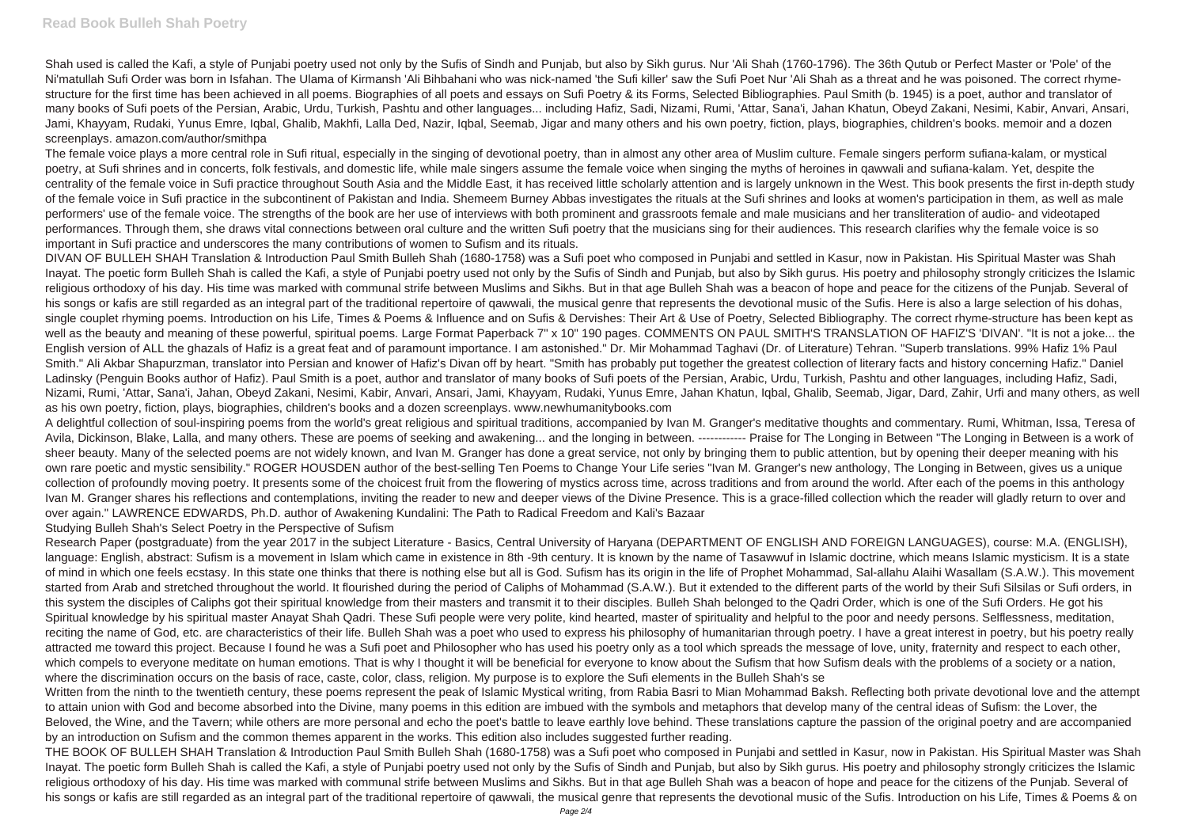Shah used is called the Kafi, a style of Punjabi poetry used not only by the Sufis of Sindh and Punjab, but also by Sikh gurus. Nur 'Ali Shah (1760-1796). The 36th Qutub or Perfect Master or 'Pole' of the Ni'matullah Sufi Order was born in Isfahan. The Ulama of Kirmansh 'Ali Bihbahani who was nick-named 'the Sufi killer' saw the Sufi Poet Nur 'Ali Shah as a threat and he was poisoned. The correct rhymestructure for the first time has been achieved in all poems. Biographies of all poets and essays on Sufi Poetry & its Forms, Selected Bibliographies. Paul Smith (b. 1945) is a poet, author and translator of many books of Sufi poets of the Persian, Arabic, Urdu, Turkish, Pashtu and other languages... including Hafiz, Sadi, Nizami, Rumi, 'Attar, Sana'i, Jahan Khatun, Obeyd Zakani, Nesimi, Kabir, Anvari, Ansari, Jami, Khayyam, Rudaki, Yunus Emre, Iqbal, Ghalib, Makhfi, Lalla Ded, Nazir, Iqbal, Seemab, Jigar and many others and his own poetry, fiction, plays, biographies, children's books. memoir and a dozen screenplays. amazon.com/author/smithpa

The female voice plays a more central role in Sufi ritual, especially in the singing of devotional poetry, than in almost any other area of Muslim culture. Female singers perform sufiana-kalam, or mystical poetry, at Sufi shrines and in concerts, folk festivals, and domestic life, while male singers assume the female voice when singing the myths of heroines in gawwali and sufiana-kalam. Yet, despite the centrality of the female voice in Sufi practice throughout South Asia and the Middle East, it has received little scholarly attention and is largely unknown in the West. This book presents the first in-depth study of the female voice in Sufi practice in the subcontinent of Pakistan and India. Shemeem Burney Abbas investigates the rituals at the Sufi shrines and looks at women's participation in them, as well as male performers' use of the female voice. The strengths of the book are her use of interviews with both prominent and grassroots female and male musicians and her transliteration of audio- and videotaped performances. Through them, she draws vital connections between oral culture and the written Sufi poetry that the musicians sing for their audiences. This research clarifies why the female voice is so important in Sufi practice and underscores the many contributions of women to Sufism and its rituals.

DIVAN OF BULLEH SHAH Translation & Introduction Paul Smith Bulleh Shah (1680-1758) was a Sufi poet who composed in Punjabi and settled in Kasur, now in Pakistan. His Spiritual Master was Shah Inayat. The poetic form Bulleh Shah is called the Kafi, a style of Punjabi poetry used not only by the Sufis of Sindh and Punjab, but also by Sikh gurus. His poetry and philosophy strongly criticizes the Islamic religious orthodoxy of his day. His time was marked with communal strife between Muslims and Sikhs. But in that age Bulleh Shah was a beacon of hope and peace for the citizens of the Punjab. Several of his songs or kafis are still regarded as an integral part of the traditional repertoire of gawwali, the musical genre that represents the devotional music of the Sufis. Here is also a large selection of his dohas, single couplet rhyming poems. Introduction on his Life, Times & Poems & Influence and on Sufis & Dervishes: Their Art & Use of Poetry, Selected Bibliography. The correct rhyme-structure has been kept as well as the beauty and meaning of these powerful, spiritual poems. Large Format Paperback 7" x 10" 190 pages. COMMENTS ON PAUL SMITH'S TRANSLATION OF HAFIZ'S 'DIVAN'. "It is not a joke... the English version of ALL the ghazals of Hafiz is a great feat and of paramount importance. I am astonished." Dr. Mir Mohammad Taghavi (Dr. of Literature) Tehran. "Superb translations. 99% Hafiz 1% Paul Smith." Ali Akbar Shapurzman, translator into Persian and knower of Hafiz's Divan off by heart. "Smith has probably put together the greatest collection of literary facts and history concerning Hafiz." Daniel Ladinsky (Penguin Books author of Hafiz). Paul Smith is a poet, author and translator of many books of Sufi poets of the Persian, Arabic, Urdu, Turkish, Pashtu and other languages, including Hafiz, Sadi, Nizami, Rumi, 'Attar, Sana'i, Jahan, Obeyd Zakani, Nesimi, Kabir, Anvari, Ansari, Jami, Khayyam, Rudaki, Yunus Emre, Jahan Khatun, Iqbal, Ghalib, Seemab, Jigar, Dard, Zahir, Urfi and many others, as well as his own poetry, fiction, plays, biographies, children's books and a dozen screenplays. www.newhumanitybooks.com

THE BOOK OF BULLEH SHAH Translation & Introduction Paul Smith Bulleh Shah (1680-1758) was a Sufi poet who composed in Punjabi and settled in Kasur, now in Pakistan. His Spiritual Master was Shah Inayat. The poetic form Bulleh Shah is called the Kafi, a style of Punjabi poetry used not only by the Sufis of Sindh and Punjab, but also by Sikh gurus. His poetry and philosophy strongly criticizes the Islamic religious orthodoxy of his day. His time was marked with communal strife between Muslims and Sikhs. But in that age Bulleh Shah was a beacon of hope and peace for the citizens of the Punjab. Several of his songs or kafis are still regarded as an integral part of the traditional repertoire of gawwali, the musical genre that represents the devotional music of the Sufis. Introduction on his Life, Times & Poems & on

A delightful collection of soul-inspiring poems from the world's great religious and spiritual traditions, accompanied by Ivan M. Granger's meditative thoughts and commentary. Rumi, Whitman, Issa, Teresa of Avila, Dickinson, Blake, Lalla, and many others. These are poems of seeking and awakening... and the longing in between. ------------- Praise for The Longing in Between "The Longing in Between is a work of sheer beauty. Many of the selected poems are not widely known, and Ivan M. Granger has done a great service, not only by bringing them to public attention, but by opening their deeper meaning with his own rare poetic and mystic sensibility." ROGER HOUSDEN author of the best-selling Ten Poems to Change Your Life series "Ivan M. Granger's new anthology, The Longing in Between, gives us a unique collection of profoundly moving poetry. It presents some of the choicest fruit from the flowering of mystics across time, across traditions and from around the world. After each of the poems in this anthology Ivan M. Granger shares his reflections and contemplations, inviting the reader to new and deeper views of the Divine Presence. This is a grace-filled collection which the reader will gladly return to over and over again." LAWRENCE EDWARDS, Ph.D. author of Awakening Kundalini: The Path to Radical Freedom and Kali's Bazaar Studying Bulleh Shah's Select Poetry in the Perspective of Sufism

Research Paper (postgraduate) from the year 2017 in the subject Literature - Basics, Central University of Haryana (DEPARTMENT OF ENGLISH AND FOREIGN LANGUAGES), course: M.A. (ENGLISH), language: English, abstract: Sufism is a movement in Islam which came in existence in 8th -9th century. It is known by the name of Tasawwuf in Islamic doctrine, which means Islamic mysticism. It is a state of mind in which one feels ecstasy. In this state one thinks that there is nothing else but all is God. Sufism has its origin in the life of Prophet Mohammad, Sal-allahu Alaihi Wasallam (S.A.W.). This movement started from Arab and stretched throughout the world. It flourished during the period of Caliphs of Mohammad (S.A.W.). But it extended to the different parts of the world by their Sufi Silsilas or Sufi orders, in this system the disciples of Caliphs got their spiritual knowledge from their masters and transmit it to their disciples. Bulleh Shah belonged to the Qadri Order, which is one of the Sufi Orders. He got his Spiritual knowledge by his spiritual master Anayat Shah Qadri. These Sufi people were very polite, kind hearted, master of spirituality and helpful to the poor and needy persons. Selflessness, meditation, reciting the name of God, etc. are characteristics of their life. Bulleh Shah was a poet who used to express his philosophy of humanitarian through poetry. I have a great interest in poetry, but his poetry really attracted me toward this project. Because I found he was a Sufi poet and Philosopher who has used his poetry only as a tool which spreads the message of love, unity, fraternity and respect to each other, which compels to everyone meditate on human emotions. That is why I thought it will be beneficial for everyone to know about the Sufism that how Sufism deals with the problems of a society or a nation, where the discrimination occurs on the basis of race, caste, color, class, religion. My purpose is to explore the Sufi elements in the Bulleh Shah's se

Written from the ninth to the twentieth century, these poems represent the peak of Islamic Mystical writing, from Rabia Basri to Mian Mohammad Baksh. Reflecting both private devotional love and the attempt to attain union with God and become absorbed into the Divine, many poems in this edition are imbued with the symbols and metaphors that develop many of the central ideas of Sufism: the Lover, the Beloved, the Wine, and the Tavern; while others are more personal and echo the poet's battle to leave earthly love behind. These translations capture the passion of the original poetry and are accompanied by an introduction on Sufism and the common themes apparent in the works. This edition also includes suggested further reading.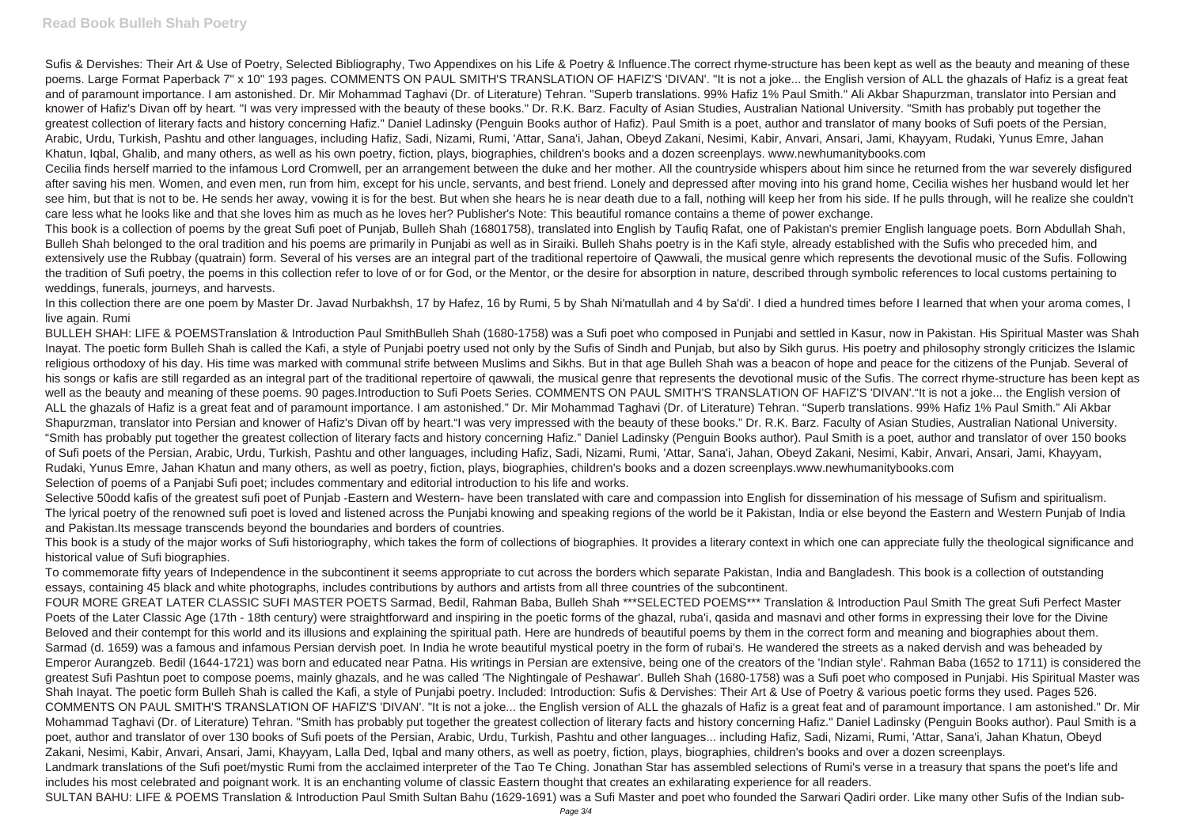Sufis & Dervishes: Their Art & Use of Poetry, Selected Bibliography. Two Appendixes on his Life & Poetry & Influence. The correct rhyme-structure has been kept as well as the beauty and meaning of these poems. Large Format Paperback 7" x 10" 193 pages. COMMENTS ON PAUL SMITH'S TRANSLATION OF HAFIZ'S 'DIVAN'. "It is not a joke... the English version of ALL the ghazals of Hafiz is a great feat and of paramount importance. I am astonished. Dr. Mir Mohammad Taghavi (Dr. of Literature) Tehran. "Superb translations. 99% Hafiz 1% Paul Smith." Ali Akbar Shapurzman, translator into Persian and knower of Hafiz's Divan off by heart. "I was very impressed with the beauty of these books." Dr. R.K. Barz. Faculty of Asian Studies, Australian National University. "Smith has probably put together the greatest collection of literary facts and history concerning Hafiz." Daniel Ladinsky (Penguin Books author of Hafiz). Paul Smith is a poet, author and translator of many books of Sufi poets of the Persian, Arabic, Urdu, Turkish, Pashtu and other languages, including Hafiz, Sadi, Nizami, Rumi, 'Attar, Sana'i, Jahan, Obeyd Zakani, Nesimi, Kabir, Anvari, Ansari, Jami, Khayyam, Rudaki, Yunus Emre, Jahan Khatun, Iqbal, Ghalib, and many others, as well as his own poetry, fiction, plays, biographies, children's books and a dozen screenplays. www.newhumanitybooks.com Cecilia finds herself married to the infamous Lord Cromwell, per an arrangement between the duke and her mother. All the countryside whispers about him since he returned from the war severely disfigured after saving his men. Women, and even men, run from him, except for his uncle, servants, and best friend. Lonely and depressed after moving into his grand home, Cecilia wishes her husband would let her see him, but that is not to be. He sends her away, vowing it is for the best. But when she hears he is near death due to a fall, nothing will keep her from his side. If he pulls through, will he realize she couldn't care less what he looks like and that she loves him as much as he loves her? Publisher's Note: This beautiful romance contains a theme of power exchange.

This book is a collection of poems by the great Sufi poet of Punjab, Bulleh Shah (16801758), translated into English by Taufiq Rafat, one of Pakistan's premier English language poets. Born Abdullah Shah, Bulleh Shah belonged to the oral tradition and his poems are primarily in Punjabi as well as in Siraiki. Bulleh Shahs poetry is in the Kafi style, already established with the Sufis who preceded him, and extensively use the Rubbay (quatrain) form. Several of his verses are an integral part of the traditional repertoire of Qawwali, the musical genre which represents the devotional music of the Sufis. Following the tradition of Sufi poetry, the poems in this collection refer to love of or for God, or the Mentor, or the desire for absorption in nature, described through symbolic references to local customs pertaining to weddings, funerals, journeys, and harvests.

BULLEH SHAH: LIFE & POEMSTranslation & Introduction Paul SmithBulleh Shah (1680-1758) was a Sufi poet who composed in Puniabi and settled in Kasur, now in Pakistan. His Spiritual Master was Shah Inayat. The poetic form Bulleh Shah is called the Kafi, a style of Punjabi poetry used not only by the Sufis of Sindh and Punjab, but also by Sikh gurus. His poetry and philosophy strongly criticizes the Islamic religious orthodoxy of his day. His time was marked with communal strife between Muslims and Sikhs. But in that age Bulleh Shah was a beacon of hope and peace for the citizens of the Punjab. Several of his songs or kafis are still regarded as an integral part of the traditional repertoire of qawwali, the musical genre that represents the devotional music of the Sufis. The correct rhyme-structure has been kept as well as the beauty and meaning of these poems. 90 pages.Introduction to Sufi Poets Series. COMMENTS ON PAUL SMITH'S TRANSLATION OF HAFIZ'S 'DIVAN'."It is not a joke... the English version of ALL the ghazals of Hafiz is a great feat and of paramount importance. I am astonished." Dr. Mir Mohammad Taghavi (Dr. of Literature) Tehran. "Superb translations. 99% Hafiz 1% Paul Smith." Ali Akbar Shapurzman, translator into Persian and knower of Hafiz's Divan off by heart."I was very impressed with the beauty of these books." Dr. R.K. Barz. Faculty of Asian Studies, Australian National University. "Smith has probably put together the greatest collection of literary facts and history concerning Hafiz." Daniel Ladinsky (Penguin Books author). Paul Smith is a poet, author and translator of over 150 books of Sufi poets of the Persian, Arabic, Urdu, Turkish, Pashtu and other languages, including Hafiz, Sadi, Nizami, Rumi, 'Attar, Sana'i, Jahan, Obeyd Zakani, Nesimi, Kabir, Anvari, Ansari, Jami, Khayyam, Rudaki, Yunus Emre, Jahan Khatun and many others, as well as poetry, fiction, plays, biographies, children's books and a dozen screenplays.www.newhumanitybooks.com Selection of poems of a Panjabi Sufi poet; includes commentary and editorial introduction to his life and works.

Selective 50odd kafis of the greatest sufi poet of Punjab -Eastern and Western- have been translated with care and compassion into English for dissemination of his message of Sufism and spiritualism. The lyrical poetry of the renowned sufi poet is loved and listened across the Punjabi knowing and speaking regions of the world be it Pakistan, India or else beyond the Eastern and Western Punjab of India and Pakistan.Its message transcends beyond the boundaries and borders of countries.

In this collection there are one poem by Master Dr. Javad Nurbakhsh, 17 by Hafez, 16 by Rumi, 5 by Shah Ni'matullah and 4 by Sa'di'. I died a hundred times before I learned that when your aroma comes, I live again. Rumi

FOUR MORE GREAT LATER CLASSIC SUFI MASTER POETS Sarmad, Bedil, Rahman Baba, Bulleh Shah \*\*\*SELECTED POEMS\*\*\* Translation & Introduction Paul Smith The great Sufi Perfect Master Poets of the Later Classic Age (17th - 18th century) were straightforward and inspiring in the poetic forms of the ghazal, ruba'i, qasida and masnavi and other forms in expressing their love for the Divine Beloved and their contempt for this world and its illusions and explaining the spiritual path. Here are hundreds of beautiful poems by them in the correct form and meaning and biographies about them. Sarmad (d. 1659) was a famous and infamous Persian dervish poet. In India he wrote beautiful mystical poetry in the form of rubai's. He wandered the streets as a naked dervish and was beheaded by Emperor Aurangzeb. Bedil (1644-1721) was born and educated near Patna. His writings in Persian are extensive, being one of the creators of the 'Indian style'. Rahman Baba (1652 to 1711) is considered the greatest Sufi Pashtun poet to compose poems, mainly ghazals, and he was called 'The Nightingale of Peshawar'. Bulleh Shah (1680-1758) was a Sufi poet who composed in Punjabi. His Spiritual Master was Shah Inayat. The poetic form Bulleh Shah is called the Kafi, a style of Punjabi poetry. Included: Introduction: Sufis & Dervishes: Their Art & Use of Poetry & various poetic forms they used. Pages 526. COMMENTS ON PAUL SMITH'S TRANSLATION OF HAFIZ'S 'DIVAN'. "It is not a joke... the English version of ALL the ghazals of Hafiz is a great feat and of paramount importance. I am astonished." Dr. Mir Mohammad Taghavi (Dr. of Literature) Tehran. "Smith has probably put together the greatest collection of literary facts and history concerning Hafiz." Daniel Ladinsky (Penguin Books author). Paul Smith is a poet, author and translator of over 130 books of Sufi poets of the Persian, Arabic, Urdu, Turkish, Pashtu and other languages... including Hafiz, Sadi, Nizami, Rumi, 'Attar, Sana'i, Jahan Khatun, Obeyd Zakani, Nesimi, Kabir, Anvari, Ansari, Jami, Khayyam, Lalla Ded, Iqbal and many others, as well as poetry, fiction, plays, biographies, children's books and over a dozen screenplays. Landmark translations of the Sufi poet/mystic Rumi from the acclaimed interpreter of the Tao Te Ching. Jonathan Star has assembled selections of Rumi's verse in a treasury that spans the poet's life and includes his most celebrated and poignant work. It is an enchanting volume of classic Eastern thought that creates an exhilarating experience for all readers. SULTAN BAHU: LIFE & POEMS Translation & Introduction Paul Smith Sultan Bahu (1629-1691) was a Sufi Master and poet who founded the Sarwari Qadiri order. Like many other Sufis of the Indian sub-

This book is a study of the major works of Sufi historiography, which takes the form of collections of biographies. It provides a literary context in which one can appreciate fully the theological significance and historical value of Sufi biographies.

To commemorate fifty years of Independence in the subcontinent it seems appropriate to cut across the borders which separate Pakistan, India and Bangladesh. This book is a collection of outstanding essays, containing 45 black and white photographs, includes contributions by authors and artists from all three countries of the subcontinent.